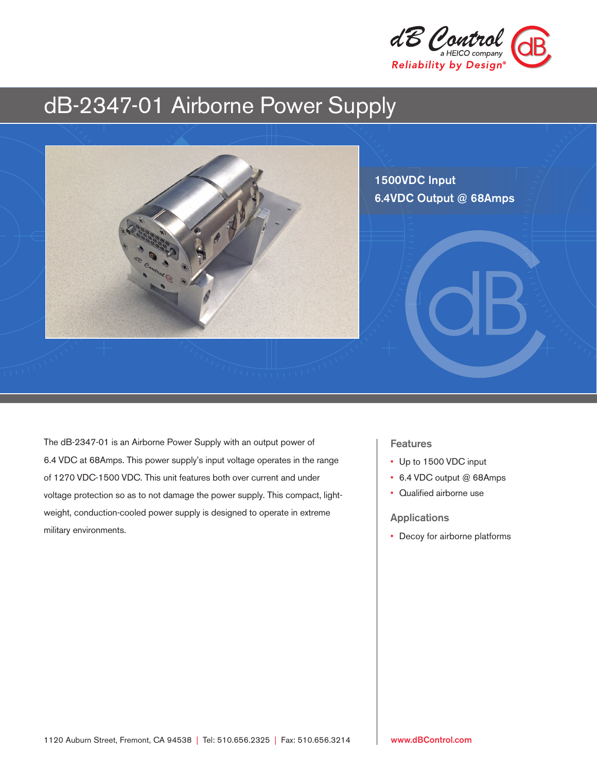

# dB-2347-01 Airborne Power Supply



The dB-2347-01 is an Airborne Power Supply with an output power of 6.4 VDC at 68Amps. This power supply's input voltage operates in the range of 1270 VDC-1500 VDC. This unit features both over current and under voltage protection so as to not damage the power supply. This compact, lightweight, conduction-cooled power supply is designed to operate in extreme military environments.

# Features

- Up to 1500 VDC input
- 6.4 VDC output @ 68Amps
- Qualified airborne use

## Applications

• Decoy for airborne platforms